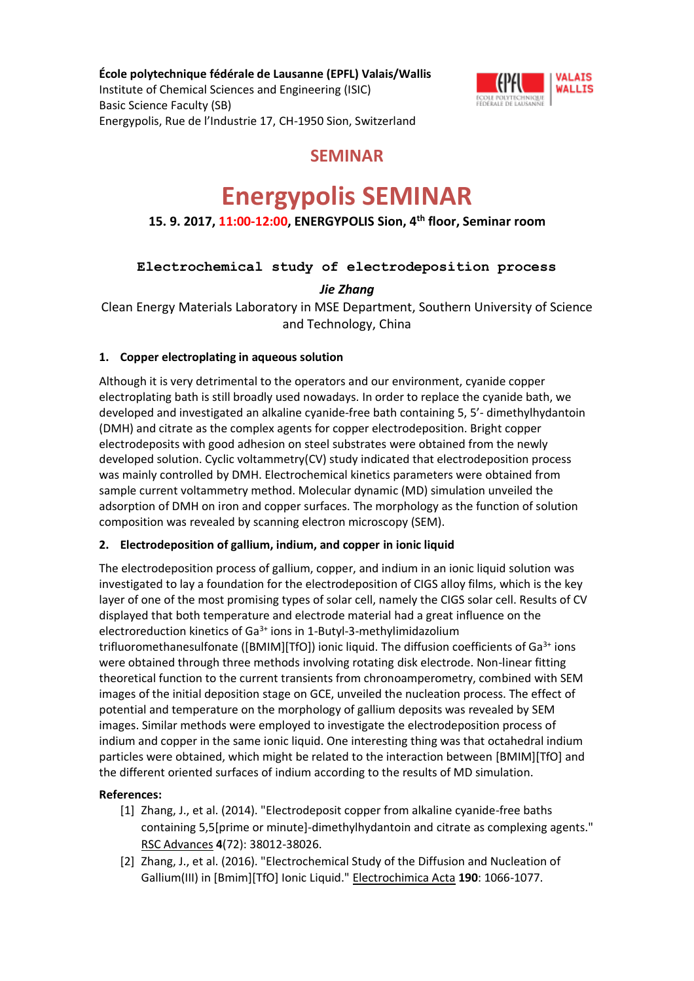**École polytechnique fédérale de Lausanne (EPFL) Valais/Wallis** Institute of Chemical Sciences and Engineering (ISIC) Basic Science Faculty (SB) Energypolis, Rue de l'Industrie 17, CH-1950 Sion, Switzerland



## **SEMINAR**

# **Energypolis SEMINAR**

### **15. 9. 2017, 11:00-12:00, ENERGYPOLIS Sion, 4th floor, Seminar room**

#### **Electrochemical study of electrodeposition process**

*Jie Zhang*

Clean Energy Materials Laboratory in MSE Department, Southern University of Science and Technology, China

#### **1. Copper electroplating in aqueous solution**

Although it is very detrimental to the operators and our environment, cyanide copper electroplating bath is still broadly used nowadays. In order to replace the cyanide bath, we developed and investigated an alkaline cyanide-free bath containing 5, 5'- dimethylhydantoin (DMH) and citrate as the complex agents for copper electrodeposition. Bright copper electrodeposits with good adhesion on steel substrates were obtained from the newly developed solution. Cyclic voltammetry(CV) study indicated that electrodeposition process was mainly controlled by DMH. Electrochemical kinetics parameters were obtained from sample current voltammetry method. Molecular dynamic (MD) simulation unveiled the adsorption of DMH on iron and copper surfaces. The morphology as the function of solution composition was revealed by scanning electron microscopy (SEM).

#### **2. Electrodeposition of gallium, indium, and copper in ionic liquid**

The electrodeposition process of gallium, copper, and indium in an ionic liquid solution was investigated to lay a foundation for the electrodeposition of CIGS alloy films, which is the key layer of one of the most promising types of solar cell, namely the CIGS solar cell. Results of CV displayed that both temperature and electrode material had a great influence on the electroreduction kinetics of  $Ga^{3+}$  ions in 1-Butyl-3-methylimidazolium trifluoromethanesulfonate ([BMIM][TfO]) ionic liquid. The diffusion coefficients of Ga<sup>3+</sup> ions were obtained through three methods involving rotating disk electrode. Non-linear fitting theoretical function to the current transients from chronoamperometry, combined with SEM images of the initial deposition stage on GCE, unveiled the nucleation process. The effect of potential and temperature on the morphology of gallium deposits was revealed by SEM images. Similar methods were employed to investigate the electrodeposition process of indium and copper in the same ionic liquid. One interesting thing was that octahedral indium particles were obtained, which might be related to the interaction between [BMIM][TfO] and the different oriented surfaces of indium according to the results of MD simulation.

#### **References:**

- [1] Zhang, J., et al. (2014). "Electrodeposit copper from alkaline cyanide-free baths containing 5,5[prime or minute]-dimethylhydantoin and citrate as complexing agents." RSC Advances **4**(72): 38012-38026.
- [2] Zhang, J., et al. (2016). "Electrochemical Study of the Diffusion and Nucleation of Gallium(III) in [Bmim][TfO] Ionic Liquid." Electrochimica Acta **190**: 1066-1077.